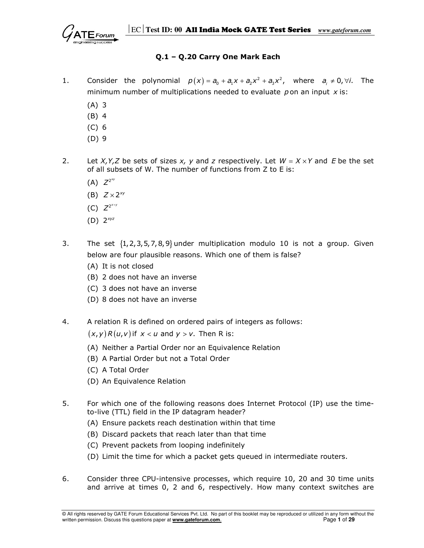

# Q.1 – Q.20 Carry One Mark Each

- 1. Consider the polynomial  $p(x) = a_0 + a_1x + a_2x^2 + a_3x^2$ , where  $a_i \neq 0$ ,  $\forall i$ . The minimum number of multiplications needed to evaluate pon an input  $x$  is:
	- (A) 3
	- (B) 4
	- (C) 6
	- (D) 9
- 2. Let X, Y, Z be sets of sizes x, y and z respectively. Let  $W = X \times Y$  and E be the set of all subsets of W. The number of functions from Z to E is:
- (A)  $Z^{2^{xy}}$
- (B)  $Z \times 2^{xy}$
- (C)  $Z^{2^{x+y}}$
- (D)  $2^{xyz}$
- 3. The set  $\{1, 2, 3, 5, 7, 8, 9\}$  under multiplication modulo 10 is not a group. Given below are four plausible reasons. Which one of them is false?
	- (A) It is not closed
	- (B) 2 does not have an inverse
	- (C) 3 does not have an inverse
	- (D) 8 does not have an inverse
- 4. A relation R is defined on ordered pairs of integers as follows:

 $(x, y)$  R $(u, v)$  if  $x < u$  and  $y > v$ . Then R is:

- (A) Neither a Partial Order nor an Equivalence Relation
- (B) A Partial Order but not a Total Order
- (C) A Total Order
- (D) An Equivalence Relation
- 5. For which one of the following reasons does Internet Protocol (IP) use the time to-live (TTL) field in the IP datagram header?
	- (A) Ensure packets reach destination within that time
	- (B) Discard packets that reach later than that time
	- (C) Prevent packets from looping indefinitely
	- (D) Limit the time for which a packet gets queued in intermediate routers.
- 6. Consider three CPU-intensive processes, which require 10, 20 and 30 time units and arrive at times 0, 2 and 6, respectively. How many context switches are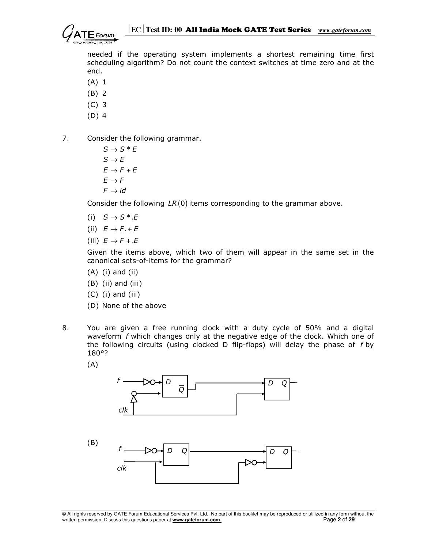needed if the operating system implements a shortest remaining time first scheduling algorithm? Do not count the context switches at time zero and at the end.

- (A) 1
- (B) 2
- (C) 3
- (D) 4
- 7. Consider the following grammar.
	- $S \rightarrow S^*E$  $S \rightarrow E$  $E \rightarrow F + E$  $E \rightarrow F$  $\digamma \rightarrow \textit{id}$

Consider the following  $LR(0)$  items corresponding to the grammar above.

- (i)  $S \rightarrow S^* .E$
- (ii)  $E \rightarrow F + E$
- (iii)  $E \rightarrow F + E$

 Given the items above, which two of them will appear in the same set in the canonical sets-of-items for the grammar?

- (A) (i) and (ii)
- (B) (ii) and (iii)
- $(C)$  (i) and (iii)
- (D) None of the above
- 8. You are given a free running clock with a duty cycle of 50% and a digital waveform f which changes only at the negative edge of the clock. Which one of the following circuits (using clocked D flip-flops) will delay the phase of  $f$  by 180°?
	- (A)



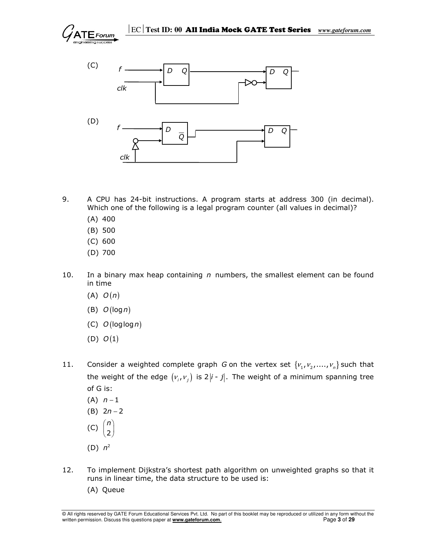



- 9. A CPU has 24-bit instructions. A program starts at address 300 (in decimal). Which one of the following is a legal program counter (all values in decimal)?
	- (A) 400
	- (B) 500
	- (C) 600
	- (D) 700
- 10. In a binary max heap containing  $n$  numbers, the smallest element can be found in time
	- $(A)$   $O(n)$
	- (B)  $O(log n)$
	- (C)  $O(log \log n)$
	- $(D)$   $O(1)$
- 11. Consider a weighted complete graph G on the vertex set  $\{v_1, v_2, ..., v_n\}$  such that the weight of the edge  $(v_i, v_j)$  is 2 |i - j|. The weight of a minimum spanning tree of G is:
	- $(A)$   $n-1$
	- (B)  $2n 2$
	- (C)  $\left( 2\right)$ n
	- $(D)$   $n^2$
- 12. To implement Dijkstra's shortest path algorithm on unweighted graphs so that it runs in linear time, the data structure to be used is:
	- (A) Queue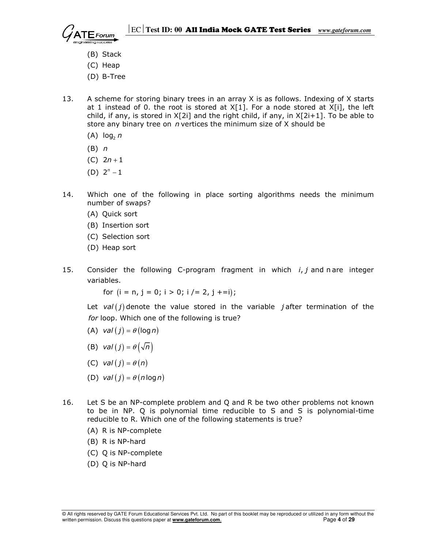- (B) Stack
- (C) Heap
- (D) B-Tree
- 13. A scheme for storing binary trees in an array X is as follows. Indexing of X starts at 1 instead of 0. the root is stored at  $X[1]$ . For a node stored at  $X[i]$ , the left child, if any, is stored in  $X[2i]$  and the right child, if any, in  $X[2i+1]$ . To be able to store any binary tree on  $n$  vertices the minimum size of  $X$  should be
- (A)  $\log_2 n$ 
	- (B) n
	- (C)  $2n + 1$
- (D)  $2^n 1$
- 14. Which one of the following in place sorting algorithms needs the minimum number of swaps?
	- (A) Quick sort
	- (B) Insertion sort
	- (C) Selection sort
	- (D) Heap sort
- 15. Consider the following C-program fragment in which  $i, j$  and n are integer variables.

for  $(i = n, j = 0; i > 0; i /= 2, j++)$ ;

Let val  $(j)$  denote the value stored in the variable jafter termination of the for loop. Which one of the following is true?

- (A) val  $(j) = \theta$  (log n)
- (B) val  $(j) = \theta(\sqrt{n})$
- (C) val  $(j) = \theta(n)$
- (D) val  $(j) = \theta (n \log n)$
- 16. Let S be an NP-complete problem and Q and R be two other problems not known to be in NP. Q is polynomial time reducible to S and S is polynomial-time reducible to R. Which one of the following statements is true?
	- (A) R is NP-complete
	- (B) R is NP-hard
	- (C) Q is NP-complete
	- (D) Q is NP-hard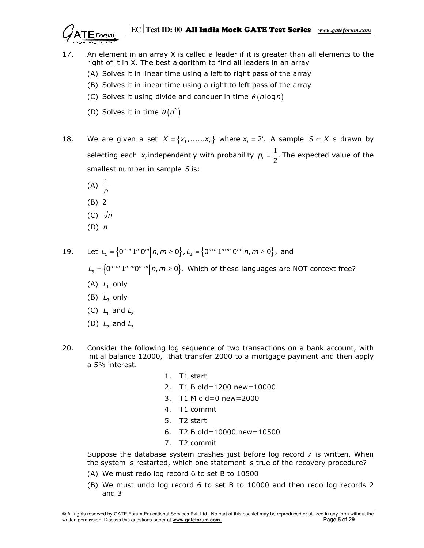# EC**Test ID: 00** All India Mock GATE Test Series *www.gateforum.com*

- 17. An element in an array X is called a leader if it is greater than all elements to the right of it in X. The best algorithm to find all leaders in an array
	- (A) Solves it in linear time using a left to right pass of the array
	- (B) Solves it in linear time using a right to left pass of the array
	- (C) Solves it using divide and conquer in time  $\theta$  (n log n)
- (D) Solves it in time  $\theta(n^2)$
- 18. We are given a set  $X = \{x_1, \dots, x_n\}$  where  $x_i = 2^i$ . A sample  $S \subseteq X$  is drawn by selecting each  $x_i$  independently with probability  $p_i = \frac{1}{2}$ . The expected value of the smallest number in sample  $S$  is:
- (A)  $\frac{1}{n}$ 
	-
	- (B) 2
	- (C)  $\sqrt{n}$
	- $(D)$   $n$

19. Let  $L_1 = \left\{0^{n+m}1^n 0^m \middle| n, m \ge 0 \right\}$ ,  $L_2 = \left\{0^{n+m}1^{n+m} 0^m \middle| n, m \ge 0 \right\}$ , and

 $\mathcal{L}_3 = \left\{0^{n+m} 1^{n+m} 0^{n+m} \middle| n,m \geq 0 \right\}.$  Which of these languages are NOT context free?

- $(A)$   $L_1$  only
- (B)  $L<sub>3</sub>$  only
	- (C)  $L_1$  and  $L_2$
	- (D)  $L_2$  and  $L_3$
- 20. Consider the following log sequence of two transactions on a bank account, with initial balance 12000, that transfer 2000 to a mortgage payment and then apply a 5% interest.
	- 1. T1 start
	- 2. T1 B old=1200 new=10000
	- 3. T1 M old=0 new=2000
	- 4. T1 commit
	- 5. T2 start
	- 6. T2 B old=10000 new=10500
	- 7. T2 commit

 Suppose the database system crashes just before log record 7 is written. When the system is restarted, which one statement is true of the recovery procedure?

- (A) We must redo log record 6 to set B to 10500
- (B) We must undo log record 6 to set B to 10000 and then redo log records 2 and 3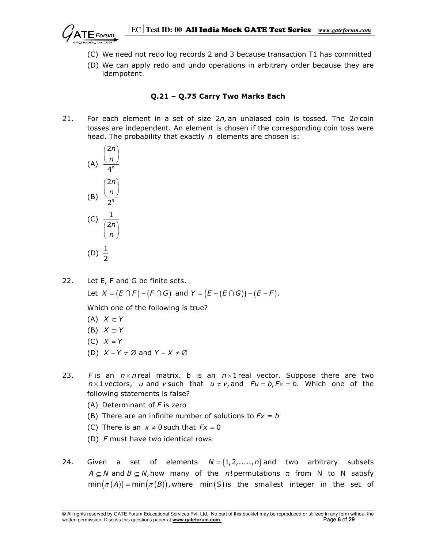

- (C) We need not redo log records 2 and 3 because transaction T1 has committed
- (D) We can apply redo and undo operations in arbitrary order because they are idempotent.

## Q.21 – Q.75 Carry Two Marks Each

21. For each element in a set of size  $2n$ , an unbiased coin is tossed. The  $2n$  coin tosses are independent. An element is chosen if the corresponding coin toss were head. The probability that exactly  $n$  elements are chosen is:

(A) 
$$
\frac{\binom{2n}{n}}{\binom{2n}{2^n}}
$$
  
\n(B) 
$$
\frac{\binom{2n}{n}}{\binom{2n}{n}}
$$
  
\n(C) 
$$
\frac{1}{\binom{2n}{n}}
$$
  
\n(D) 
$$
\frac{1}{2}
$$

22. Let E, F and G be finite sets. Let  $X = (E \cap F) - (F \cap G)$  and  $Y = (E - (E \cap G)) - (E - F)$ .

Which one of the following is true?

- $(A)$   $X \subset Y$
- $(B)$   $X \supset Y$
- $(C)$   $X = Y$
- (D)  $X Y \neq \emptyset$  and  $Y X \neq \emptyset$
- 23. F is an  $n \times n$  real matrix. b is an  $n \times 1$  real vector. Suppose there are two  $n \times 1$  vectors, u and v such that  $u \neq v$ , and  $Fu = b$ ,  $Fv = b$ . Which one of the following statements is false?
	- (A) Determinant of  $F$  is zero
	- (B) There are an infinite number of solutions to  $Fx = b$
	- (C) There is an  $x \neq 0$  such that  $Fx = 0$
	- (D) F must have two identical rows
- 24. Given a set of elements  $N = \{1, 2, \ldots, n\}$  and two arbitrary subsets  $A \subseteq N$  and  $B \subseteq N$ , how many of the n! permutations  $\pi$  from N to N satisfy  $min(\pi(A)) = min(\pi(B))$ , where min(S) is the smallest integer in the set of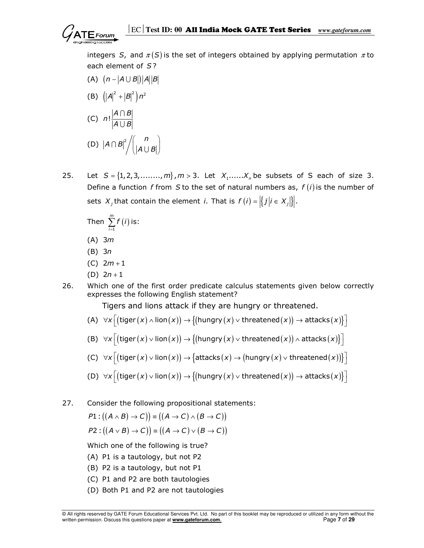integers S, and  $\pi(S)$  is the set of integers obtained by applying permutation  $\pi$  to each element of S?

- (A)  $(n |A \cup B|)|A||B|$
- (B)  $(|A|^2 + |B|^2) n^2$ (C)  $n! \frac{|A \cap B|}{|A \cup B|}$  $\bigcap$ U (D)  $|A \cap B|^2 / \binom{n}{|A \cup B|}$  $(|A \cup B|)$  $\bigcap B \big|^\mathbb{Z} \big/ \Big| \big| A \big| \big|$
- 

25. Let  $S = \{1, 2, 3, \ldots, m\}$ ,  $m > 3$ . Let  $X_1, \ldots, X_n$  be subsets of S each of size 3. Define a function f from S to the set of natural numbers as,  $f(i)$  is the number of sets  $X_j$  that contain the element *i*. That is  $f(i) = |\{j | i \in X_j\}|$ .

Then 
$$
\sum_{i=1}^{m} f(i)
$$
 is:

- (A) 3m
- (B) 3n
- $(C)$  2*m* + 1
- (D)  $2n + 1$
- 26. Which one of the first order predicate calculus statements given below correctly expresses the following English statement?

Tigers and lions attack if they are hungry or threatened.

- (A)  $\forall x \Big[ ( \textsf{tiger}\, ( x ) \land \textsf{lion}\, ( x ) ) \rightarrow \big\{ ( \textsf{hungry}\, ( x ) \lor \textsf{thread}\, ( x ) ) \rightarrow \textsf{attacks}\, ( x ) \big\} \Big]$
- (B)  $\forall x \Big[ \big(\textsf{tiger}\, (x) \vee \textsf{lion}\, (x) \big) \rightarrow \big\{ \big(\textsf{hungry}\, (x) \vee \textsf{thread}\, (x) \big) \wedge \textsf{attacks}\, (x) \big\} \Big]$
- (C)  $\forall x \Big[ ( \text{tiger} \, (x) \vee \text{lion} \, (x) ) \rightarrow \big\{ \text{attacks} \, (x) \rightarrow \big( \text{hungry} \, (x) \vee \text{thread} \, (x) ) \big\} \Big]$
- (D)  $\forall x \Big[ \big(\mathsf{tiger}\, (x) \vee \mathsf{lion}\, (x) \big) \rightarrow \big\{ \big(\mathsf{hungry}\, (x) \vee \mathsf{thread}\, (x) \big) \rightarrow \mathsf{attacks}\, (x) \big\} \Big]$
- 27. Consider the following propositional statements:

$$
P1: ((A \wedge B) \rightarrow C)) = ((A \rightarrow C) \wedge (B \rightarrow C))
$$

$$
P2: ((A \vee B) \rightarrow C)) \equiv ((A \rightarrow C) \vee (B \rightarrow C))
$$

Which one of the following is true?

- (A) P1 is a tautology, but not P2
- (B) P2 is a tautology, but not P1
- (C) P1 and P2 are both tautologies
- (D) Both P1 and P2 are not tautologies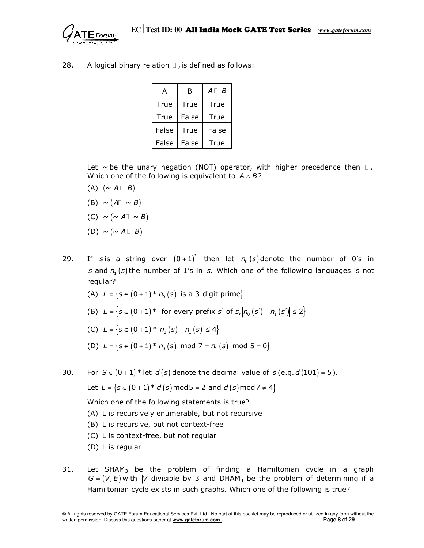28. A logical binary relation ,is defined as follows:

| А     | в     | R<br>А |
|-------|-------|--------|
| True  | True  | True   |
| True  | False | True   |
| False | True  | False  |
| False | False | True   |

Let  $\sim$  be the unary negation (NOT) operator, with higher precedence then . Which one of the following is equivalent to  $A \wedge B$ ?

- $(A)$   $(\sim A \quad B)$
- (B)  $\sim (A \sim B)$
- $(C) \sim (\sim A \sim B)$
- $(D) \sim (\sim A \quad B)$
- 29. If sis a string over  $(0+1)^*$  then let  $n_0(s)$  denote the number of 0's in s and  $n_1$  (s) the number of 1's in s. Which one of the following languages is not regular?
	- (A)  $L = \{s \in (0+1)^* | n_0(s)$  is a 3-digit prime
	- (B)  $L = \{s \in (0+1)^* | \text{ for every prefix } s' \text{ of } s, |n_0(s') n_1(s')| \leq 2\}$

(C) 
$$
L = \{s \in (0+1) * |n_0(s) - n_1(s)| \le 4\}
$$

- (D)  $L = \{s \in (0+1)^* | n_0(s) \mod 7 = n_1(s) \mod 5 = 0 \}$
- 30. For  $S \in (0+1)^*$  let  $d(s)$  denote the decimal value of  $s$  (e.g.  $d(101) = 5$ ).

Let 
$$
L = \{s \in (0+1)^* | d(s) \text{ mod } 5 = 2 \text{ and } d(s) \text{ mod } 7 \neq 4\}
$$

Which one of the following statements is true?

- (A) L is recursively enumerable, but not recursive
- (B) L is recursive, but not context-free
- (C) L is context-free, but not regular
- (D) L is regular
- $31.$  Let SHAM<sub>3</sub> be the problem of finding a Hamiltonian cycle in a graph  $G = (V, E)$  with  $|V|$  divisible by 3 and DHAM<sub>3</sub> be the problem of determining if a Hamiltonian cycle exists in such graphs. Which one of the following is true?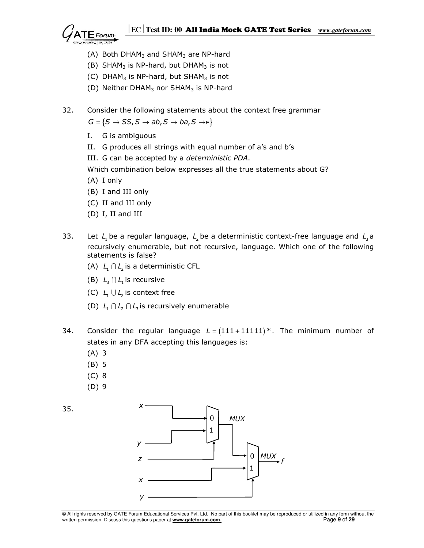

- (A) Both DHAM<sub>3</sub> and SHAM<sub>3</sub> are NP-hard
- (B) SHAM<sub>3</sub> is NP-hard, but DHAM<sub>3</sub> is not
- (C) DHAM<sub>3</sub> is NP-hard, but SHAM<sub>3</sub> is not
- (D) Neither DHAM<sub>3</sub> nor SHAM<sub>3</sub> is NP-hard
- 32. Consider the following statements about the context free grammar  $G = \{S \rightarrow SS, S \rightarrow ab, S \rightarrow ba, S \rightarrow \in\}$ 
	- I. G is ambiguous
	- II. G produces all strings with equal number of a's and b's
	- III. G can be accepted by a deterministic PDA.
	- Which combination below expresses all the true statements about G?
	- (A) I only
	- (B) I and III only
	- (C) II and III only
	- (D) I, II and III
- 33. Let  $L_1$  be a regular language,  $L_2$  be a deterministic context-free language and  $L_3$  a recursively enumerable, but not recursive, language. Which one of the following statements is false?
	- (A)  $L_1 \cap L_2$  is a deterministic CFL
	- (B)  $L_1 \cap L_1$  is recursive
	- (C)  $L_1 \cup L_2$  is context free
	- (D)  $L_1 \cap L_2 \cap L_3$  is recursively enumerable
- 34. Consider the regular language  $L = (111 + 11111)^*$ . The minimum number of states in any DFA accepting this languages is:
	- (A) 3
	- (B) 5
	- (C) 8
	- (D) 9



<sup>©</sup> All rights reserved by GATE Forum Educational Services Pvt. Ltd. No part of this booklet may be reproduced or utilized in any form without the written permission. Discuss this questions paper at **www.gateforum.com**. Page **9** of **29**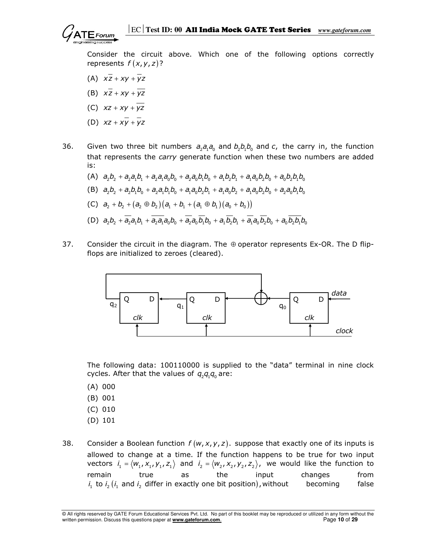

 Consider the circuit above. Which one of the following options correctly represents  $f(x, y, z)$ ?

- (A)  $x\overline{z} + xv + \overline{v}z$
- (B)  $x\overline{z} + xv + \overline{v}z$
- (C)  $xz + xv + \overline{vz}$
- (D)  $xz + xy + yz$
- 36. Given two three bit numbers  $a_2 a_1 a_0$  and  $b_2 b_1 b_0$  and c, the carry in, the function that represents the *carry* generate function when these two numbers are added is:
	- (A)  $a_2b_1 + a_2a_1b_1 + a_2a_1a_0b_0 + a_2a_0b_1b_0 + a_1b_2b_1 + a_1a_0b_2b_0 + a_0b_2b_1b_0$ (B)  $a_2b_1 + a_2b_1b_0 + a_2a_1b_1b_0 + a_1a_0b_2b_1 + a_1a_0b_2 + a_1a_0b_2b_0 + a_2a_0b_1b_0$ (C)  $a_2 + b_2 + (a_2 \oplus b_2)(a_1 + b_1 + (a_1 \oplus b_1)(a_0 + b_0))$ (D)  $a_2b_2 + a_2a_1b_1 + a_2a_1a_0b_0 + a_2a_0b_1b_0 + a_1b_2b_1 + a_1a_0b_2b_0 + a_0b_2b_0$
- 37. Consider the circuit in the diagram. The  $\oplus$  operator represents Ex-OR. The D flipflops are initialized to zeroes (cleared).



 The following data: 100110000 is supplied to the "data" terminal in nine clock cycles. After that the values of  $q_2q_1q_0$  are:

- (A) 000
- (B) 001
- (C) 010
- (D) 101
- 38. Consider a Boolean function  $f(w, x, y, z)$ . suppose that exactly one of its inputs is allowed to change at a time. If the function happens to be true for two input vectors  $i_1 = \langle w_1, x_1, y_1, z_1 \rangle$  and  $i_2 = \langle w_2, x_2, y_2, z_2 \rangle$ , we would like the function to remain true as the input changes from  $i_1$  to  $i_2$   $(i_1$  and  $i_2$  differ in exactly one bit position), without becoming false

© All rights reserved by GATE Forum Educational Services Pvt. Ltd. No part of this booklet may be reproduced or utilized in any form without the written permission. Discuss this questions paper at **www.gateforum.com.** Page 10 of 29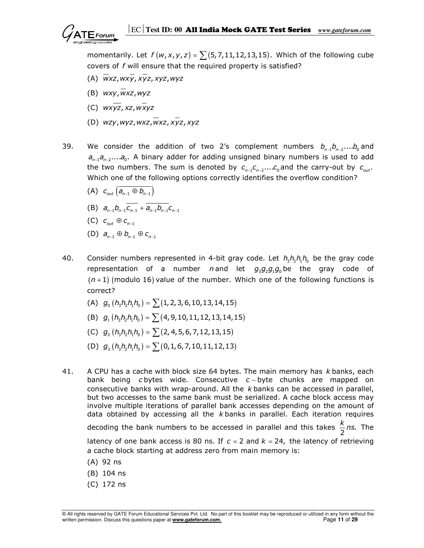momentarily. Let  $f(w, x, y, z) = \sum (5, 7, 11, 12, 13, 15)$ . Which of the following cube covers of f will ensure that the required property is satisfied?

- (A)  $\overline{w}$ xz,  $\overline{w}$ yz,  $\overline{x}$ yz,  $\overline{x}$ yz,  $\overline{w}$ yz
- (B)  $wxy, wxz, wyz$
- (C)  $wx\overline{vz}$ , xz,  $w\overline{x}v\overline{z}$
- (D)  $wzy, wyz, wxz, wxz, xyz, xyz$
- 39. We consider the addition of two 2's complement numbers  $b_{n-1} b_{n-2} ... b_0$  and  $a_{n-1}a_{n-2}....a_0$ . A binary adder for adding unsigned binary numbers is used to add the two numbers. The sum is denoted by  $c_{n-1}c_{n-2}...c_0$  and the carry-out by  $c_{_{out}}$ . Which one of the following options correctly identifies the overflow condition?
	- (A)  $c_{\text{out}} (\overline{a_{n-1} \oplus b_{n-1}})$
	- (B)  $a_{n-1}b_{n-1}\overline{c_{n-1}} + \overline{a_{n-1}b_{n-1}}c_{n-1}$
- (C)  $c_{\textit{\tiny out}} \oplus c_{\textit{\tiny n-1}}$ 
	- (D)  $a_{n-1} \oplus b_{n-1} \oplus c_{n-1}$
- 40. Consider numbers represented in 4-bit gray code. Let  $h_3h_5h_1h_0$  be the gray code representation of a number n and let  $g_3g_2g_1g_0$  be the gray code of  $(n+1)$  (modulo 16) value of the number. Which one of the following functions is correct?
	- (A)  $g_0(h_3h_3h_1h_0) = \sum (1,2,3,6,10,13,14,15)$
	- (B)  $g_1(h_1h_2h_1h_0) = \sum (4, 9, 10, 11, 12, 13, 14, 15)$
	- (C)  $g_2(h_3h_2h_1h_0) = \sum (2, 4, 5, 6, 7, 12, 13, 15)$
	- (D)  $g_3(h_3h_3h_1h_0) = \sum (0, 1, 6, 7, 10, 11, 12, 13)$
- 41. A CPU has a cache with block size 64 bytes. The main memory has  $k$  banks, each bank being c bytes wide. Consecutive  $c - b$ yte chunks are mapped on consecutive banks with wrap-around. All the  $k$  banks can be accessed in parallel, but two accesses to the same bank must be serialized. A cache block access may involve multiple iterations of parallel bank accesses depending on the amount of data obtained by accessing all the  $k$  banks in parallel. Each iteration requires decoding the bank numbers to be accessed in parallel and this takes  $\frac{\pi}{2}$ ns.  $\frac{k}{2}$ ns. The latency of one bank access is 80 ns. If  $c = 2$  and  $k = 24$ , the latency of retrieving a cache block starting at address zero from main memory is:
	- (A) 92 ns
	- (B) 104 ns
	- (C) 172 ns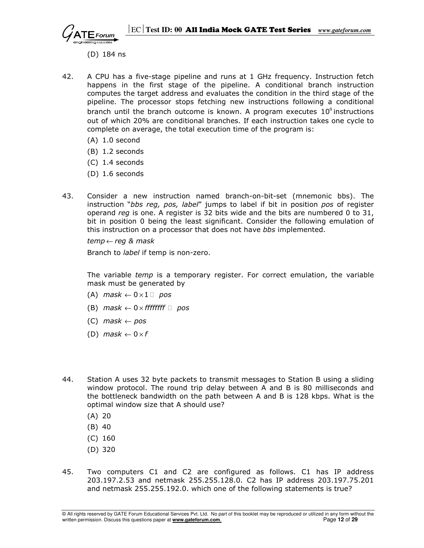

(D) 184 ns

- 42. A CPU has a five-stage pipeline and runs at 1 GHz frequency. Instruction fetch happens in the first stage of the pipeline. A conditional branch instruction computes the target address and evaluates the condition in the third stage of the pipeline. The processor stops fetching new instructions following a conditional branch until the branch outcome is known. A program executes  $10^{\circ}$  instructions out of which 20% are conditional branches. If each instruction takes one cycle to complete on average, the total execution time of the program is:
	- (A) 1.0 second
	- (B) 1.2 seconds
	- (C) 1.4 seconds
	- (D) 1.6 seconds
- 43. Consider a new instruction named branch-on-bit-set (mnemonic bbs). The instruction "bbs reg, pos, label" jumps to label if bit in position pos of register operand reg is one. A register is 32 bits wide and the bits are numbered 0 to 31, bit in position 0 being the least significant. Consider the following emulation of this instruction on a processor that does not have bbs implemented.

 $temp \leftarrow \text{req }$  & mask

Branch to *label* if temp is non-zero.

The variable temp is a temporary register. For correct emulation, the variable mask must be generated by

- (A) mask  $\leftarrow 0 \times 1$  pos
- (B) mask  $\leftarrow$  0 × ffffffff pos
- $(C)$  mask  $\leftarrow$  pos
- (D) mask  $\leftarrow 0 \times f$
- 44. Station A uses 32 byte packets to transmit messages to Station B using a sliding window protocol. The round trip delay between A and B is 80 milliseconds and the bottleneck bandwidth on the path between A and B is 128 kbps. What is the optimal window size that A should use?
	- (A) 20
	- (B) 40
	- (C) 160
	- (D) 320
- 45. Two computers C1 and C2 are configured as follows. C1 has IP address 203.197.2.53 and netmask 255.255.128.0. C2 has IP address 203.197.75.201 and netmask 255.255.192.0. which one of the following statements is true?

<sup>©</sup> All rights reserved by GATE Forum Educational Services Pvt. Ltd. No part of this booklet may be reproduced or utilized in any form without the written permission. Discuss this questions paper at **www.gateforum.com.** Page 12 of 29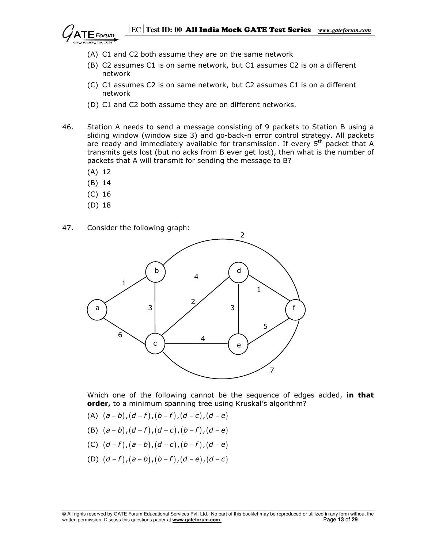

- (A) C1 and C2 both assume they are on the same network
- (B) C2 assumes C1 is on same network, but C1 assumes C2 is on a different network
- (C) C1 assumes C2 is on same network, but C2 assumes C1 is on a different network
- (D) C1 and C2 both assume they are on different networks.
- 46. Station A needs to send a message consisting of 9 packets to Station B using a sliding window (window size 3) and go-back-n error control strategy. All packets are ready and immediately available for transmission. If every  $5<sup>th</sup>$  packet that A transmits gets lost (but no acks from B ever get lost), then what is the number of packets that A will transmit for sending the message to B?
	- (A) 12
	- (B) 14
	- (C) 16
	- (D) 18
- 47. Consider the following graph:



Which one of the following cannot be the sequence of edges added, in that order, to a minimum spanning tree using Kruskal's algorithm?

- (A)  $(a b)$ ,  $(d f)$ ,  $(b f)$ ,  $(d c)$ ,  $(d e)$
- (B)  $(a b)$ ,  $(d f)$ ,  $(d c)$ ,  $(b f)$ ,  $(d e)$
- (C)  $(d f)$ ,  $(a b)$ ,  $(d c)$ ,  $(b f)$ ,  $(d e)$
- (D)  $(d f)$ ,  $(a b)$ ,  $(b f)$ ,  $(d e)$ ,  $(d c)$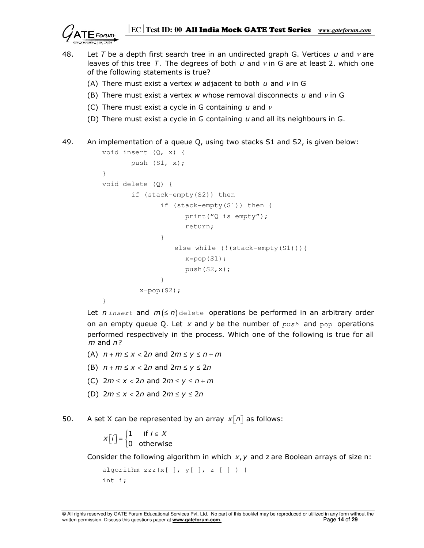

- 48. Let T be a depth first search tree in an undirected graph G. Vertices u and  $\nu$  are leaves of this tree T. The degrees of both  $u$  and  $v$  in G are at least 2. which one of the following statements is true?
	- (A) There must exist a vertex w adjacent to both  $u$  and  $v$  in G
	- (B) There must exist a vertex w whose removal disconnects  $u$  and  $v$  in G
	- (C) There must exist a cycle in G containing  $u$  and  $v$
	- (D) There must exist a cycle in G containing  $u$  and all its neighbours in G.
- 49. An implementation of a queue Q, using two stacks S1 and S2, is given below:

```
 void insert (Q, x) { 
               push (S1, x); 
 } 
         void delete (Q) { 
               if (stack-empty(S2)) then 
                     if (stack-empty(S1)) then { 
                          print("Q is empty"); 
                          return; 
 } 
                        else while (!(stack-empty(S1))){ 
                         x = pop(S1); push(S2,x); 
 } 
                x=pop(S2); }
```
Let *n* insert and  $m(\leq n)$  delete operations be performed in an arbitrary order on an empty queue Q. Let x and y be the number of  $push$  and  $pop$  operations performed respectively in the process. Which one of the following is true for all  $m$  and  $n$ ?

- (A)  $n + m \le x < 2n$  and  $2m \le y \le n + m$
- (B)  $n + m \le x < 2n$  and  $2m \le y \le 2n$
- (C)  $2m \le x < 2n$  and  $2m \le y \le n + m$
- (D)  $2m \le x < 2n$  and  $2m \le y \le 2n$
- 50. A set X can be represented by an array  $x[n]$  as follows:

$$
x[i] = \begin{cases} 1 & \text{if } i \in X \\ 0 & \text{otherwise} \end{cases}
$$

Consider the following algorithm in which  $x, y$  and z are Boolean arrays of size n:

```
algorithm zzz(x[ ] , y[ ], z[ ] ) } {
 int i;
```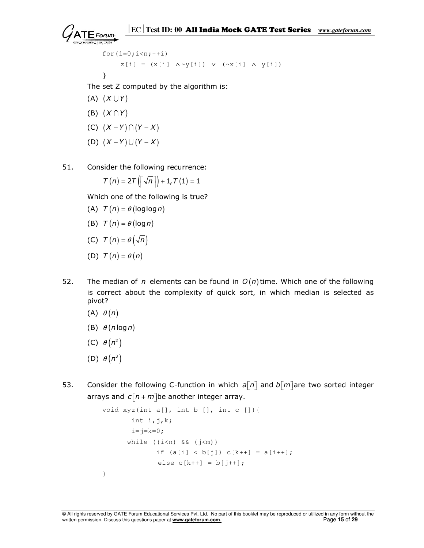```
for(i=0;i<n;+i)
     z[i] = (x[i] \wedge y[i]) \vee (~x[i] \wedge y[i]) }
```
The set Z computed by the algorithm is:

- (A)  $(X \cup Y)$
- (B)  $(X \cap Y)$
- (C)  $(X Y) \cap (Y X)$
- (D)  $(X Y) \cup (Y X)$
- 51. Consider the following recurrence:

$$
\mathcal{T}\left(n\right)=2\mathcal{T}\left(\left\lceil \sqrt{n}\hspace{0.2em} \right\rceil\right)+1,\mathcal{T}\left(1\right)=1
$$

Which one of the following is true?

- (A)  $T(n) = \theta$  (loglog n)
- (B)  $T(n) = \theta(\log n)$
- (C)  $T(n) = \theta(\sqrt{n})$
- (D)  $T(n) = \theta(n)$
- 52. The median of n elements can be found in  $O(n)$  time. Which one of the following is correct about the complexity of quick sort, in which median is selected as pivot?
	- (A)  $\theta(n)$
	- (B)  $\theta$  (n log n)
- (C)  $\theta(n^2)$
- (D)  $\theta(n^3)$
- 53. Consider the following C-function in which  $a[n]$  and  $b[m]$  are two sorted integer arrays and  $c \overline{n} + m$  be another integer array.

```
 void xyz(int a[], int b [], int c []){ 
                 int i, j, k;i = j = k = 0;while (i\leq n) && (j\leq m))
                       if (a[i] < b[j]) c[k++] = a[i++];else c[k++] = b[j++]; }
```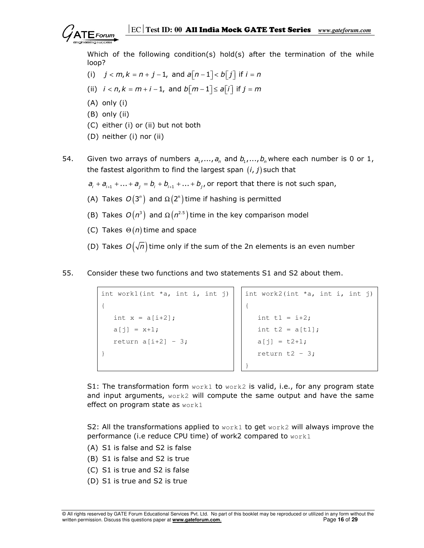

 Which of the following condition(s) hold(s) after the termination of the while loop?

- (i)  $j < m, k = n + j 1$ , and  $a[n-1] < b[i]$  if  $i = n$
- (ii)  $i < n, k = m + i 1$ , and  $b\lceil m 1 \rceil \le a\lceil i \rceil$  if  $j = m$
- (A) only (i)
- (B) only (ii)
- (C) either (i) or (ii) but not both
- (D) neither (i) nor (ii)
- 54. Given two arrays of numbers  $a_1, ..., a_n$  and  $b_1, ..., b_n$  where each number is 0 or 1, the fastest algorithm to find the largest span  $(i, j)$  such that
	- $a_{i} + a_{i+1} + ... + a_{i} = b_{i} + b_{i+1} + ... + b_{i}$ , or report that there is not such span,
- (A) Takes  $O(3^n)$  and  $\Omega(2^n)$  time if hashing is permitted
- (B) Takes  $O(n^3)$  and  $\Omega(n^{2.5})$  time in the key comparison model
	- (C) Takes  $\Theta(n)$  time and space
	- (D) Takes  $O(\sqrt{n})$  time only if the sum of the 2n elements is an even number
- 55. Consider these two functions and two statements S1 and S2 about them.

```
int work1(int *a, int i, int j) int work2(int *a, int i, int j)
{
 int x = a[i+2]; \qquad \qquad | int t1 = i+2;
 a[j] = x+1; int t2 = a[t1];return a[i+2] - 3; a[j] = t2+1;} return t2 – 3; 
                     }
```
S1: The transformation form  $work1$  to  $work2$  is valid, i.e., for any program state and input arguments, work2 will compute the same output and have the same effect on program state as work1

S2: All the transformations applied to  $work1$  to get  $work2$  will always improve the performance (i.e reduce CPU time) of work2 compared to work1

- (A) S1 is false and S2 is false
- (B) S1 is false and S2 is true
- (C) S1 is true and S2 is false
- (D) S1 is true and S2 is true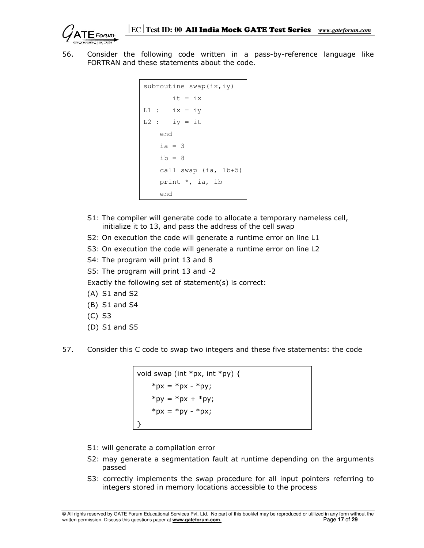56. Consider the following code written in a pass-by-reference language like FORTRAN and these statements about the code.

```
subroutine swap(ix,iy) 
       it = ixL1 : ix = iyL2 : iy = it end 
    ia = 3ib = 8 call swap (ia, 1b+5)
     print *, ia, ib 
     end
```
- S1: The compiler will generate code to allocate a temporary nameless cell, initialize it to 13, and pass the address of the cell swap
- S2: On execution the code will generate a runtime error on line L1
- S3: On execution the code will generate a runtime error on line L2
- S4: The program will print 13 and 8
- S5: The program will print 13 and -2

Exactly the following set of statement(s) is correct:

- (A) S1 and S2
- (B) S1 and S4
- (C) S3
- (D) S1 and S5
- 57. Consider this C code to swap two integers and these five statements: the code

```
void swap (int *px, int *py) {
    *px = *px - *py;
   *py = *px + *py;
    *px = *py - *px;
}
```
- S1: will generate a compilation error
- S2: may generate a segmentation fault at runtime depending on the arguments passed
- S3: correctly implements the swap procedure for all input pointers referring to integers stored in memory locations accessible to the process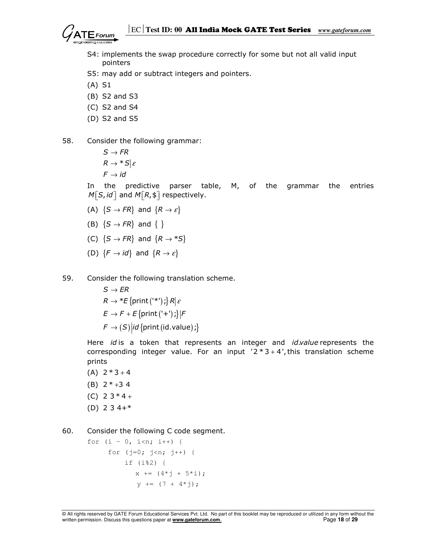

- S4: implements the swap procedure correctly for some but not all valid input pointers
- S5: may add or subtract integers and pointers.
- (A) S1
- (B) S2 and S3
- (C) S2 and S4
- (D) S2 and S5
- 58. Consider the following grammar:

 $R \to {}^*S|\varepsilon$  $S \to FR$  $\digamma \rightarrow \textit{id}$ 

> In the predictive parser table, M, of the grammar the entries  $M \lceil S, id \rceil$  and  $M \lceil R, \$ \rceil$  respectively.

- (A)  $\{S \rightarrow FR\}$  and  $\{R \rightarrow \varepsilon\}$
- (B)  $\{S \rightarrow FR\}$  and  $\{\}$
- (C)  $\{S \rightarrow FR\}$  and  $\{R \rightarrow *S\}$
- (D)  $\{F \rightarrow id\}$  and  $\{R \rightarrow \varepsilon\}$
- 59. Consider the following translation scheme.
	- $R \to {}^*E$  {print ('\*') ;}  $R\vert \varepsilon$  $E \rightarrow F + E$ {print ('+');}| $F$  $\mathcal{F} \rightarrow (S) | id \{ \text{print} (id.value) \} \}$  $S \to ER$

Here id is a token that represents an integer and id.value represents the corresponding integer value. For an input  $2 * 3 + 4'$ , this translation scheme prints

- $(A)$  2  $*$  3 + 4 (B)  $2 * +3 4$  $(C)$  2 3  $*$  4 +
- (D) 2 3 4+\*

60. Consider the following C code segment.

for  $(i - 0, i < n; i++)$  { for  $(j=0; j {$  if (i%2) {  $x = (4 \times j + 5 \times i);$  $y = (7 + 4 \times j);$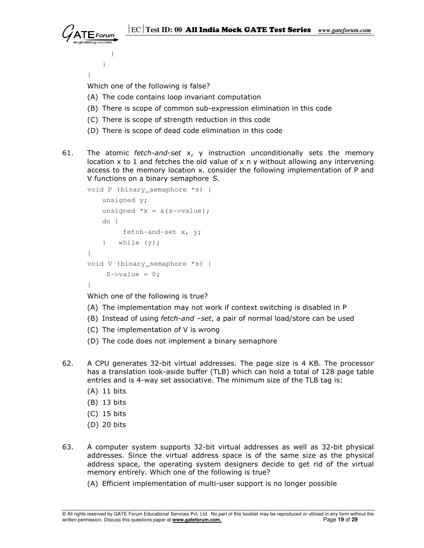

 } } }

Which one of the following is false?

- (A) The code contains loop invariant computation
- (B) There is scope of common sub-expression elimination in this code
- (C) There is scope of strength reduction in this code
- (D) There is scope of dead code elimination in this code
- 61. The atomic *fetch-and-set*  $x$ ,  $y$  instruction unconditionally sets the memory location  $x$  to 1 and fetches the old value of  $x$  n  $y$  without allowing any intervening access to the memory location x. consider the following implementation of P and V functions on a binary semaphore S.

```
void P (binary_semaphore *s) { 
            unsigned y; 
           unsigned x = \& (s \rightarrow value);
            do { 
                   fetch-and-set x, y; 
            } while (y); 
        } 
        void V (binary_semaphore *s) { 
             S \rightarrow \text{value} = 0; }
```
Which one of the following is true?

- (A) The implementation may not work if context switching is disabled in P
- (B) Instead of using *fetch-and -set*, a pair of normal load/store can be used
- (C) The implementation of V is wrong
- (D) The code does not implement a binary semaphore
- 62. A CPU generates 32-bit virtual addresses. The page size is 4 KB. The processor has a translation look-aside buffer (TLB) which can hold a total of 128 page table entries and is 4-way set associative. The minimum size of the TLB tag is:
	- (A) 11 bits
	- (B) 13 bits
	- (C) 15 bits
	- (D) 20 bits
- 63. A computer system supports 32-bit virtual addresses as well as 32-bit physical addresses. Since the virtual address space is of the same size as the physical address space, the operating system designers decide to get rid of the virtual memory entirely. Which one of the following is true?
	- (A) Efficient implementation of multi-user support is no longer possible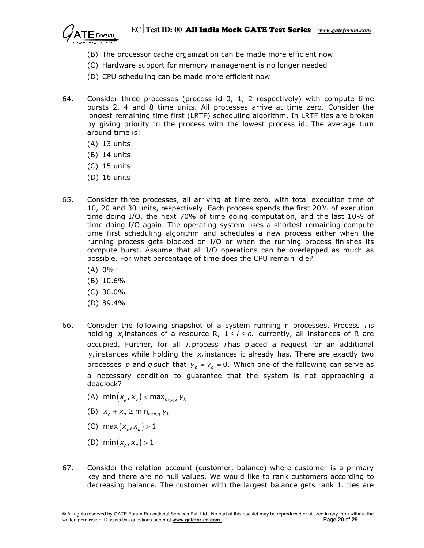

- (B) The processor cache organization can be made more efficient now
- (C) Hardware support for memory management is no longer needed
- (D) CPU scheduling can be made more efficient now
- 64. Consider three processes (process id 0, 1, 2 respectively) with compute time bursts 2, 4 and 8 time units. All processes arrive at time zero. Consider the longest remaining time first (LRTF) scheduling algorithm. In LRTF ties are broken by giving priority to the process with the lowest process id. The average turn around time is:
	- (A) 13 units
	- (B) 14 units
	- (C) 15 units
	- (D) 16 units
- 65. Consider three processes, all arriving at time zero, with total execution time of 10, 20 and 30 units, respectively. Each process spends the first 20% of execution time doing I/O, the next 70% of time doing computation, and the last 10% of time doing I/O again. The operating system uses a shortest remaining compute time first scheduling algorithm and schedules a new process either when the running process gets blocked on I/O or when the running process finishes its compute burst. Assume that all I/O operations can be overlapped as much as possible. For what percentage of time does the CPU remain idle?
	- (A) 0%
	- (B) 10.6%
	- (C) 30.0%
	- (D) 89.4%
- 66. Consider the following snapshot of a system running n processes. Process i is holding  $x_i$  instances of a resource R,  $1 \le i \le n$ . currently, all instances of R are occupied. Further, for all  $i$ , process  $i$  has placed a request for an additional  $y_i$  instances while holding the  $x_i$  instances it already has. There are exactly two processes p and q such that  $y_p = y_q = 0$ . Which one of the following can serve as a necessary condition to guarantee that the system is not approaching a deadlock?
- (A)  $\min(x_p, x_q) < \max_{k \neq p, q} y_k$
- (B)  $x_p + x_q \ge \min_{k \ne p,q} y_k$ 
	- (C) max  $(x_{p_1}, x_{q_2}) > 1$
	- (D) min $(x_{p}, x_{q}) > 1$
- 67. Consider the relation account (customer, balance) where customer is a primary key and there are no null values. We would like to rank customers according to decreasing balance. The customer with the largest balance gets rank 1. ties are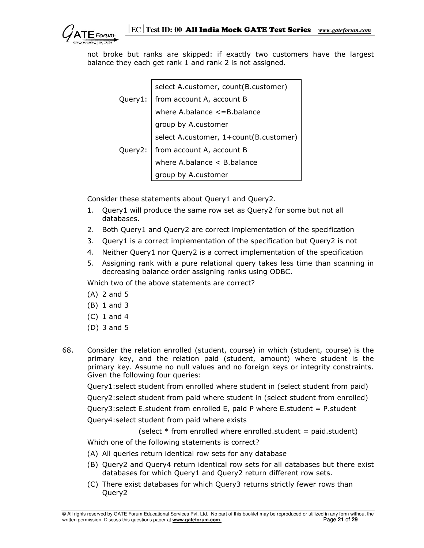

 not broke but ranks are skipped: if exactly two customers have the largest balance they each get rank 1 and rank 2 is not assigned.

|         | select A.customer, count(B.customer)   |
|---------|----------------------------------------|
| Query1: | from account A, account B              |
|         | where A.balance <= B.balance           |
|         | group by A.customer                    |
|         | select A.customer, 1+count(B.customer) |
| Query2: | from account A, account B              |
|         | where A.balance < B.balance            |
|         | group by A.customer                    |

Consider these statements about Query1 and Query2.

- 1. Query1 will produce the same row set as Query2 for some but not all databases.
- 2. Both Query1 and Query2 are correct implementation of the specification
- 3. Query1 is a correct implementation of the specification but Query2 is not
- 4. Neither Query1 nor Query2 is a correct implementation of the specification
- 5. Assigning rank with a pure relational query takes less time than scanning in decreasing balance order assigning ranks using ODBC.

Which two of the above statements are correct?

- (A) 2 and 5
- (B) 1 and 3
- (C) 1 and 4
- (D) 3 and 5
- 68. Consider the relation enrolled (student, course) in which (student, course) is the primary key, and the relation paid (student, amount) where student is the primary key. Assume no null values and no foreign keys or integrity constraints. Given the following four queries:

Query1:select student from enrolled where student in (select student from paid)

Query2:select student from paid where student in (select student from enrolled)

Query3:select E.student from enrolled E, paid P where E.student = P.student

Query4:select student from paid where exists

(select  $*$  from enrolled where enrolled.student = paid.student)

Which one of the following statements is correct?

- (A) All queries return identical row sets for any database
- (B) Query2 and Query4 return identical row sets for all databases but there exist databases for which Query1 and Query2 return different row sets.
- (C) There exist databases for which Query3 returns strictly fewer rows than Query2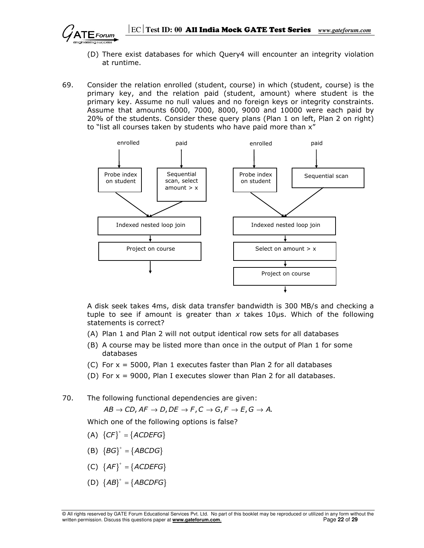

- (D) There exist databases for which Query4 will encounter an integrity violation at runtime.
- 69. Consider the relation enrolled (student, course) in which (student, course) is the primary key, and the relation paid (student, amount) where student is the primary key. Assume no null values and no foreign keys or integrity constraints. Assume that amounts 6000, 7000, 8000, 9000 and 10000 were each paid by 20% of the students. Consider these query plans (Plan 1 on left, Plan 2 on right) to "list all courses taken by students who have paid more than x"



 A disk seek takes 4ms, disk data transfer bandwidth is 300 MB/s and checking a tuple to see if amount is greater than x takes 10 $\mu$ s. Which of the following statements is correct?

- (A) Plan 1 and Plan 2 will not output identical row sets for all databases
- (B) A course may be listed more than once in the output of Plan 1 for some databases
- (C) For  $x = 5000$ , Plan 1 executes faster than Plan 2 for all databases
- (D) For x = 9000, Plan I executes slower than Plan 2 for all databases.

70. The following functional dependencies are given:

 $AB \rightarrow CD$ ,  $AF \rightarrow D$ ,  $DE \rightarrow F$ ,  $C \rightarrow G$ ,  $F \rightarrow E$ ,  $G \rightarrow A$ .

Which one of the following options is false?

- (A)  ${C}F^{\dagger} = {ACDEFG}$
- (B)  ${B G}^+ = {ABCDG}$
- (C)  ${AF}^+ = {ACDEFG}$
- (D)  ${AB}^+ = {ABCDFG}$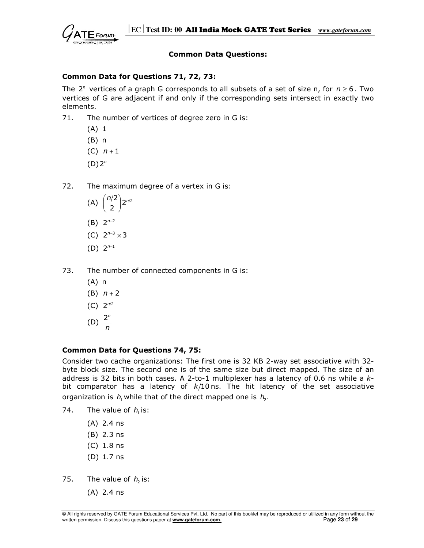

#### Common Data Questions:

## Common Data for Questions 71, 72, 73:

The  $2^n$  vertices of a graph G corresponds to all subsets of a set of size n, for  $n \ge 6$ . Two vertices of G are adjacent if and only if the corresponding sets intersect in exactly two elements.

- 71. The number of vertices of degree zero in G is:
	- (A) 1
	- (B) n
	- (C)  $n+1$
- $(D) 2^n$
- 72. The maximum degree of a vertex in G is:
- (A)  $\binom{n/2}{2} 2^{n/2}$  $\binom{n/2}{2}$ 2<sup>n</sup>  $(B) 2^{n-2}$
- (C)  $2^{n-3} \times 3$
- $(D) 2^{n-1}$
- 73. The number of connected components in G is:
	- (A) n
	- (B)  $n + 2$
- $(C)$  2<sup>n/2</sup>
- (D)  $\frac{2^n}{n}$ 
	- n

## Common Data for Questions 74, 75:

Consider two cache organizations: The first one is 32 KB 2-way set associative with 32 byte block size. The second one is of the same size but direct mapped. The size of an address is 32 bits in both cases. A 2-to-1 multiplexer has a latency of 0.6 ns while a  $k$ bit comparator has a latency of  $k/10$  ns. The hit latency of the set associative organization is  $h_1$  while that of the direct mapped one is  $h_2$ .

- 74. The value of  $h_i$  is:
	- (A) 2.4 ns
	- (B) 2.3 ns
	- (C) 1.8 ns
	- (D) 1.7 ns
- 75. The value of  $h_2$  is:
	- (A) 2.4 ns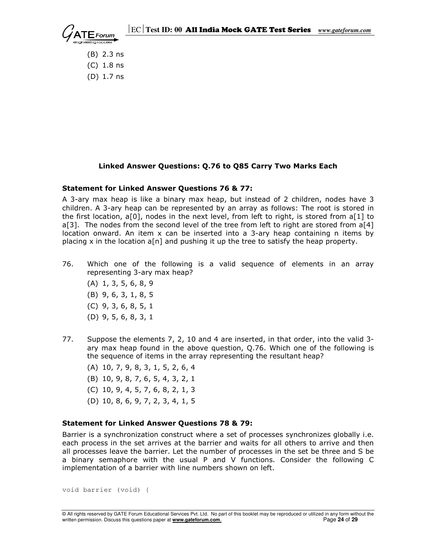

 (B) 2.3 ns (C) 1.8 ns (D) 1.7 ns

## Linked Answer Questions: Q.76 to Q85 Carry Two Marks Each

#### Statement for Linked Answer Questions 76 & 77:

A 3-ary max heap is like a binary max heap, but instead of 2 children, nodes have 3 children. A 3-ary heap can be represented by an array as follows: The root is stored in the first location, a[0], nodes in the next level, from left to right, is stored from a[1] to a[3]. The nodes from the second level of the tree from left to right are stored from  $a[4]$ location onward. An item x can be inserted into a 3-ary heap containing n items by placing x in the location  $a[n]$  and pushing it up the tree to satisfy the heap property.

- 76. Which one of the following is a valid sequence of elements in an array representing 3-ary max heap?
	- (A) 1, 3, 5, 6, 8, 9
	- (B) 9, 6, 3, 1, 8, 5
	- (C) 9, 3, 6, 8, 5, 1
	- (D) 9, 5, 6, 8, 3, 1
- 77. Suppose the elements 7, 2, 10 and 4 are inserted, in that order, into the valid 3 ary max heap found in the above question, Q.76. Which one of the following is the sequence of items in the array representing the resultant heap?
	- (A) 10, 7, 9, 8, 3, 1, 5, 2, 6, 4
	- (B) 10, 9, 8, 7, 6, 5, 4, 3, 2, 1
	- (C) 10, 9, 4, 5, 7, 6, 8, 2, 1, 3
	- (D) 10, 8, 6, 9, 7, 2, 3, 4, 1, 5

## Statement for Linked Answer Questions 78 & 79:

Barrier is a synchronization construct where a set of processes synchronizes globally i.e. each process in the set arrives at the barrier and waits for all others to arrive and then all processes leave the barrier. Let the number of processes in the set be three and S be a binary semaphore with the usual P and V functions. Consider the following C implementation of a barrier with line numbers shown on left.

void barrier (void) {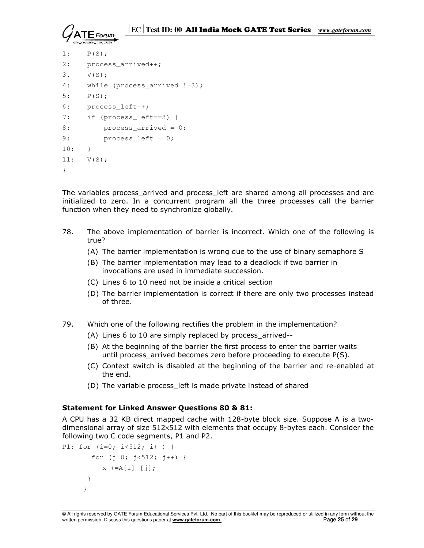

```
1: P(S); 
2: process_arrived++; 
3. V(S); 
4: while (process_arrived !=3);
5: P(S);6: process_left++; 
7: if (process_left==3) { 
8: process arrived = 0;
9: process_left = 0;
10: } 
11: V(S); 
}
```
The variables process\_arrived and process\_left are shared among all processes and are initialized to zero. In a concurrent program all the three processes call the barrier function when they need to synchronize globally.

- 78. The above implementation of barrier is incorrect. Which one of the following is true?
	- (A) The barrier implementation is wrong due to the use of binary semaphore S
	- (B) The barrier implementation may lead to a deadlock if two barrier in invocations are used in immediate succession.
	- (C) Lines 6 to 10 need not be inside a critical section
	- (D) The barrier implementation is correct if there are only two processes instead of three.
- 79. Which one of the following rectifies the problem in the implementation?
	- (A) Lines 6 to 10 are simply replaced by process\_arrived--
	- (B) At the beginning of the barrier the first process to enter the barrier waits until process\_arrived becomes zero before proceeding to execute P(S).
	- (C) Context switch is disabled at the beginning of the barrier and re-enabled at the end.
	- (D) The variable process\_left is made private instead of shared

#### Statement for Linked Answer Questions 80 & 81:

A CPU has a 32 KB direct mapped cache with 128-byte block size. Suppose A is a twodimensional array of size  $512\times512$  with elements that occupy 8-bytes each. Consider the following two C code segments, P1 and P2.

```
P1: for (i=0; i<512; i++) { 
       for (j=0; j<512; j++) {
          x +=A[i] [i]; } 
      }
```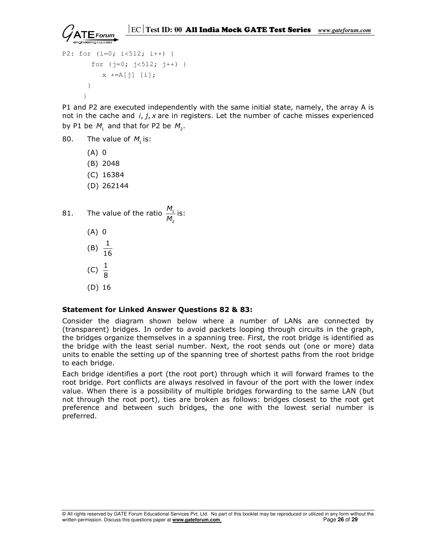```
 ECTest ID: 00 All India Mock GATE Test Series www.gateforum.com
```

```
P2: for (i=0; i<512; i++) { 
        for (j=0; j<512; j++) { 
          x +=A[j] [i]; } 
      }
```
P1 and P2 are executed independently with the same initial state, namely, the array A is not in the cache and  $i, j, x$  are in registers. Let the number of cache misses experienced by P1 be  $M_1$  and that for P2 be  $M_2$ .

- 80. The value of  $M<sub>1</sub>$  is:
	- (A) 0
	- (B) 2048
	- (C) 16384
	- (D) 262144
- 81. The value of the ratio  $\frac{1}{11}$ 2 M  $\frac{m}{M_2}$  is:
	- (A) 0
- (B)  $\frac{1}{16}$
- (C)  $\frac{1}{8}$ 
	- (D) 16

## Statement for Linked Answer Questions 82 & 83:

Consider the diagram shown below where a number of LANs are connected by (transparent) bridges. In order to avoid packets looping through circuits in the graph, the bridges organize themselves in a spanning tree. First, the root bridge is identified as the bridge with the least serial number. Next, the root sends out (one or more) data units to enable the setting up of the spanning tree of shortest paths from the root bridge to each bridge.

Each bridge identifies a port (the root port) through which it will forward frames to the root bridge. Port conflicts are always resolved in favour of the port with the lower index value. When there is a possibility of multiple bridges forwarding to the same LAN (but not through the root port), ties are broken as follows: bridges closest to the root get preference and between such bridges, the one with the lowest serial number is preferred.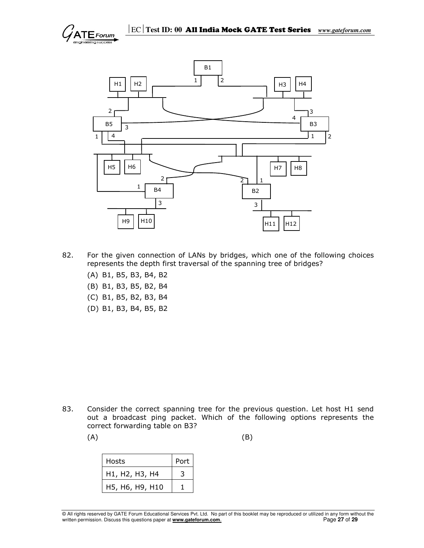



- 82. For the given connection of LANs by bridges, which one of the following choices represents the depth first traversal of the spanning tree of bridges?
	- (A) B1, B5, B3, B4, B2
	- (B) B1, B3, B5, B2, B4
	- (C) B1, B5, B2, B3, B4
	- (D) B1, B3, B4, B5, B2

- 83. Consider the correct spanning tree for the previous question. Let host H1 send out a broadcast ping packet. Which of the following options represents the correct forwarding table on B3?
- $(A)$  (B)

| Hosts                                                             | Port |
|-------------------------------------------------------------------|------|
| H <sub>1</sub> , H <sub>2</sub> , H <sub>3</sub> , H <sub>4</sub> |      |
| H5, H6, H9, H10                                                   |      |

© All rights reserved by GATE Forum Educational Services Pvt. Ltd. No part of this booklet may be reproduced or utilized in any form without the written permission. Discuss this questions paper at **www.gateforum.com.** Page 27 of 29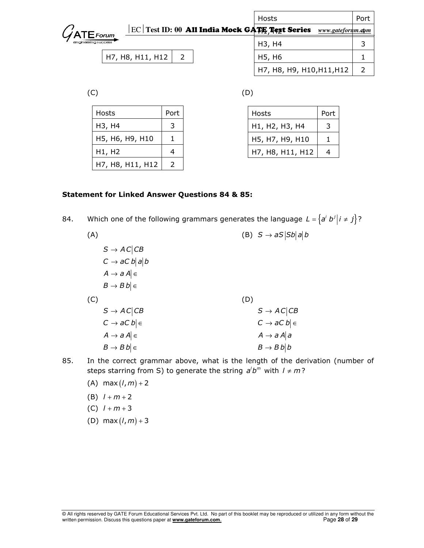|                                                                               | Hosts                           | Port |
|-------------------------------------------------------------------------------|---------------------------------|------|
| $ \text{EC} $ Test ID: $00\,$ All India Mock GATE Text Series<br>$G$ ATEForum | www.gateforum.com               |      |
| engineering success                                                           | H <sub>3</sub> , H <sub>4</sub> |      |
| H7, H8, H11, H12                                                              | H5, H6                          |      |
|                                                                               | H7, H8, H9, H10, H11, H12       |      |

 $(C)$  (D)

| Hosts            | Port |  |
|------------------|------|--|
| H3, H4           |      |  |
| H5, H6, H9, H10  |      |  |
| H1, H2           |      |  |
| H7, H8, H11, H12 |      |  |

| Hosts            | Port |
|------------------|------|
| H1, H2, H3, H4   | ≺    |
| H5, H7, H9, H10  |      |
| H7, H8, H11, H12 |      |

# Statement for Linked Answer Questions 84 & 85:

84. Which one of the following grammars generates the language  $L = \{a^i b^j | i \neq j\}$ ?

| (A) |                            | (B) $S \rightarrow aS  Sb   b  b$ |
|-----|----------------------------|-----------------------------------|
|     | $S \rightarrow AC CB$      |                                   |
|     | $C \rightarrow aC b  a  b$ |                                   |
|     | $A \rightarrow a A \in$    |                                   |
|     | $B \to B b \in$            |                                   |
| (C) |                            | (D)                               |
|     | $S \rightarrow AC CB$      |                                   |
|     |                            | $S \rightarrow AC CB$             |
|     | $C \rightarrow aC b \in$   | $C \rightarrow aC b \in$          |
|     | $A \rightarrow a A \in$    | $A \rightarrow a A   a$           |
|     | $B \to B b \in$            | $B \rightarrow B b   b$           |

- 85. In the correct grammar above, what is the length of the derivation (number of steps starring from S) to generate the string  $a'b^m$  with  $l \neq m$ ?
	- (A) max  $(l, m) + 2$
	- (B)  $l + m + 2$
	- (C)  $l + m + 3$
	- (D) max  $(l, m) + 3$